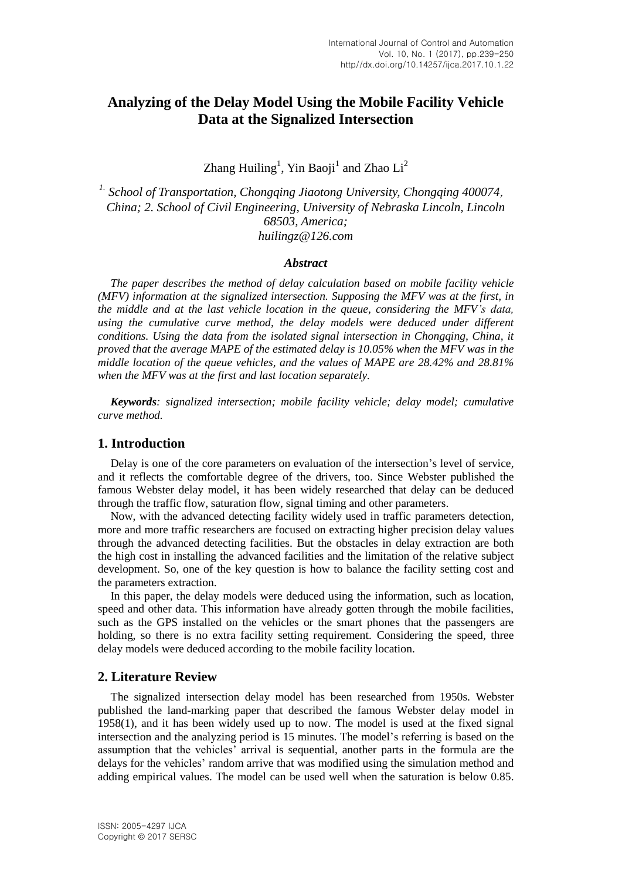# **Analyzing of the Delay Model Using the Mobile Facility Vehicle Data at the Signalized Intersection**

Zhang Huiling<sup>1</sup>, Yin Baoji<sup>1</sup> and Zhao Li<sup>2</sup>

*1. School of Transportation, Chongqing Jiaotong University, Chongqing 400074*, *China; 2. School of Civil Engineering, University of Nebraska Lincoln, Lincoln 68503, America; [huilingz@126.com](mailto:huilingz@126.com)*

#### *Abstract*

*The paper describes the method of delay calculation based on mobile facility vehicle (MFV) information at the signalized intersection. Supposing the MFV was at the first, in the middle and at the last vehicle location in the queue, considering the MFV's data, using the cumulative curve method, the delay models were deduced under different conditions. Using the data from the isolated signal intersection in Chongqing, China, it proved that the average MAPE of the estimated delay is 10.05% when the MFV was in the middle location of the queue vehicles, and the values of MAPE are 28.42% and 28.81% when the MFV was at the first and last location separately.*

*Keywords: signalized intersection; mobile facility vehicle; delay model; cumulative curve method.*

## **1. Introduction**

Delay is one of the core parameters on evaluation of the intersection's level of service, and it reflects the comfortable degree of the drivers, too. Since Webster published the famous Webster delay model, it has been widely researched that delay can be deduced through the traffic flow, saturation flow, signal timing and other parameters.

Now, with the advanced detecting facility widely used in traffic parameters detection, more and more traffic researchers are focused on extracting higher precision delay values through the advanced detecting facilities. But the obstacles in delay extraction are both the high cost in installing the advanced facilities and the limitation of the relative subject development. So, one of the key question is how to balance the facility setting cost and the parameters extraction.

In this paper, the delay models were deduced using the information, such as location, speed and other data. This information have already gotten through the mobile facilities, such as the GPS installed on the vehicles or the smart phones that the passengers are holding, so there is no extra facility setting requirement. Considering the speed, three delay models were deduced according to the mobile facility location.

## **2. Literature Review**

The signalized intersection delay model has been researched from 1950s. Webster published the land-marking paper that described the famous Webster delay model in 1958(1), and it has been widely used up to now. The model is used at the fixed signal intersection and the analyzing period is 15 minutes. The model's referring is based on the assumption that the vehicles' arrival is sequential, another parts in the formula are the delays for the vehicles' random arrive that was modified using the simulation method and adding empirical values. The model can be used well when the saturation is below 0.85.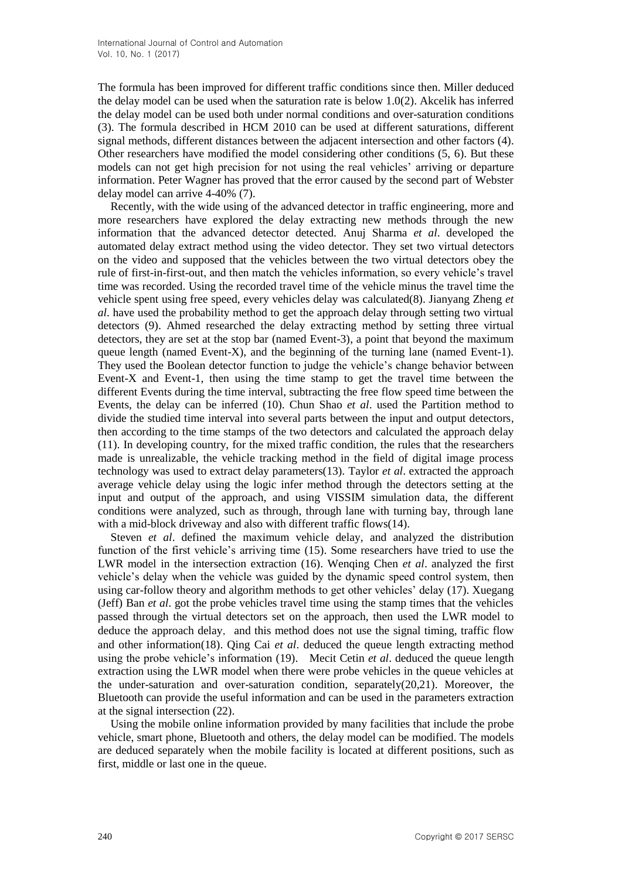The formula has been improved for different traffic conditions since then. Miller deduced the delay model can be used when the saturation rate is below 1.0(2). Akcelik has inferred the delay model can be used both under normal conditions and over-saturation conditions (3). The formula described in HCM 2010 can be used at different saturations, different signal methods, different distances between the adjacent intersection and other factors (4). Other researchers have modified the model considering other conditions (5, 6). But these models can not get high precision for not using the real vehicles' arriving or departure information. Peter Wagner has proved that the error caused by the second part of Webster delay model can arrive 4-40% (7).

Recently, with the wide using of the advanced detector in traffic engineering, more and more researchers have explored the delay extracting new methods through the new information that the advanced detector detected. Anuj Sharma *et al*. developed the automated delay extract method using the video detector. They set two virtual detectors on the video and supposed that the vehicles between the two virtual detectors obey the rule of first-in-first-out, and then match the vehicles information, so every vehicle's travel time was recorded. Using the recorded travel time of the vehicle minus the travel time the vehicle spent using free speed, every vehicles delay was calculated(8). Jianyang Zheng *et al*. have used the probability method to get the approach delay through setting two virtual detectors (9). Ahmed researched the delay extracting method by setting three virtual detectors, they are set at the stop bar (named Event-3), a point that beyond the maximum queue length (named Event-X), and the beginning of the turning lane (named Event-1). They used the Boolean detector function to judge the vehicle's change behavior between Event-X and Event-1, then using the time stamp to get the travel time between the different Events during the time interval, subtracting the free flow speed time between the Events, the delay can be inferred (10). Chun Shao *et al*. used the Partition method to divide the studied time interval into several parts between the input and output detectors, then according to the time stamps of the two detectors and calculated the approach delay (11). In developing country, for the mixed traffic condition, the rules that the researchers made is unrealizable, the vehicle tracking method in the field of digital image process technology was used to extract delay parameters(13). Taylor *et al*. extracted the approach average vehicle delay using the logic infer method through the detectors setting at the input and output of the approach, and using VISSIM simulation data, the different conditions were analyzed, such as through, through lane with turning bay, through lane with a mid-block driveway and also with different traffic flows(14).

Steven *et al*. defined the maximum vehicle delay, and analyzed the distribution function of the first vehicle's arriving time (15). Some researchers have tried to use the LWR model in the intersection extraction (16). Wenqing Chen *et al*. analyzed the first vehicle's delay when the vehicle was guided by the dynamic speed control system, then using car-follow theory and algorithm methods to get other vehicles' delay (17). Xuegang (Jeff) Ban *et al*. got the probe vehicles travel time using the stamp times that the vehicles passed through the virtual detectors set on the approach, then used the LWR model to deduce the approach delay, and this method does not use the signal timing, traffic flow and other information(18). Qing Cai *et al*. deduced the queue length extracting method using the probe vehicle's information (19). Mecit Cetin *et al*. deduced the queue length extraction using the LWR model when there were probe vehicles in the queue vehicles at the under-saturation and over-saturation condition, separately(20,21). Moreover, the Bluetooth can provide the useful information and can be used in the parameters extraction at the signal intersection (22).

Using the mobile online information provided by many facilities that include the probe vehicle, smart phone, Bluetooth and others, the delay model can be modified. The models are deduced separately when the mobile facility is located at different positions, such as first, middle or last one in the queue.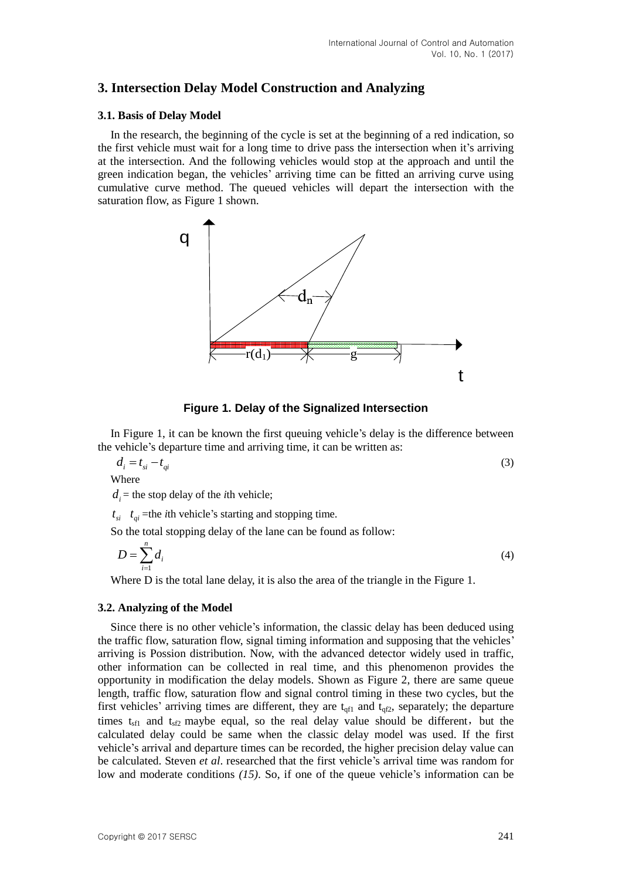## **3. Intersection Delay Model Construction and Analyzing**

## **3.1. Basis of Delay Model**

In the research, the beginning of the cycle is set at the beginning of a red indication, so the first vehicle must wait for a long time to drive pass the intersection when it's arriving at the intersection. And the following vehicles would stop at the approach and until the green indication began, the vehicles' arriving time can be fitted an arriving curve using cumulative curve method. The queued vehicles will depart the intersection with the saturation flow, as Figure 1 shown.



**Figure 1. Delay of the Signalized Intersection**

In Figure 1, it can be known the first queuing vehicle's delay is the difference between the vehicle's departure time and arriving time, it can be written as:

$$
d_i = t_{si} - t_{qi} \tag{3}
$$

Where

 $d_i$  = the stop delay of the *i*th vehicle;

 $t_{si}$   $t_{qi}$  =the *i*th vehicle's starting and stopping time.

So the total stopping delay of the lane can be found as follow:

$$
D = \sum_{i=1}^{n} d_i \tag{4}
$$

Where D is the total lane delay, it is also the area of the triangle in the Figure 1.

## **3.2. Analyzing of the Model**

Since there is no other vehicle's information, the classic delay has been deduced using the traffic flow, saturation flow, signal timing information and supposing that the vehicles' arriving is Possion distribution. Now, with the advanced detector widely used in traffic, other information can be collected in real time, and this phenomenon provides the opportunity in modification the delay models. Shown as Figure 2, there are same queue length, traffic flow, saturation flow and signal control timing in these two cycles, but the first vehicles' arriving times are different, they are  $t_{\text{qfl}}$  and  $t_{\text{qfl}}$ , separately; the departure times  $t_{\rm sf1}$  and  $t_{\rm sf2}$  maybe equal, so the real delay value should be different, but the calculated delay could be same when the classic delay model was used. If the first vehicle's arrival and departure times can be recorded, the higher precision delay value can be calculated. Steven *et al*. researched that the first vehicle's arrival time was random for low and moderate conditions *(15)*. So, if one of the queue vehicle's information can be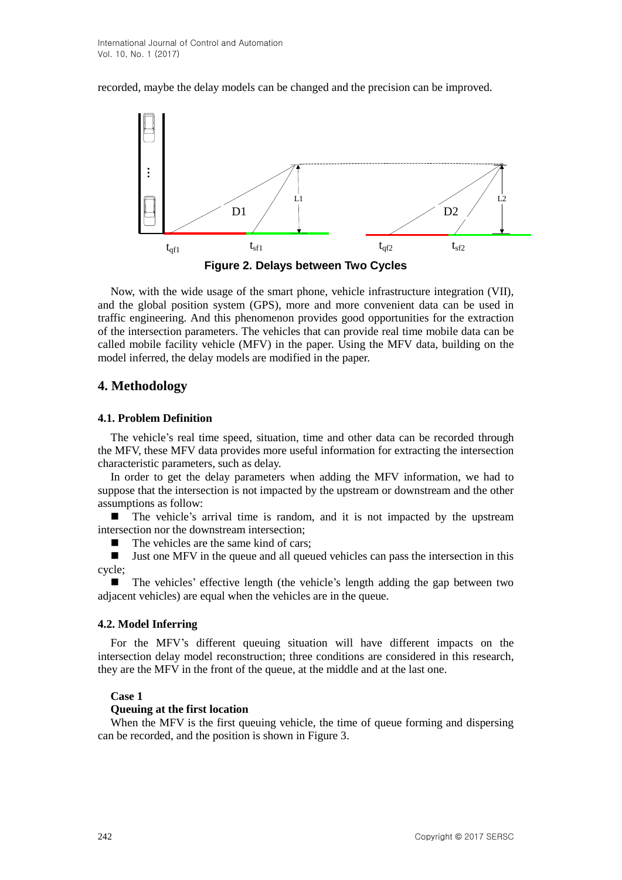recorded, maybe the delay models can be changed and the precision can be improved.



**Figure 2. Delays between Two Cycles**

Now, with the wide usage of the smart phone, vehicle infrastructure integration (VII), and the global position system (GPS), more and more convenient data can be used in traffic engineering. And this phenomenon provides good opportunities for the extraction of the intersection parameters. The vehicles that can provide real time mobile data can be called mobile facility vehicle (MFV) in the paper. Using the MFV data, building on the model inferred, the delay models are modified in the paper.

# **4. Methodology**

## **4.1. Problem Definition**

The vehicle's real time speed, situation, time and other data can be recorded through the MFV, these MFV data provides more useful information for extracting the intersection characteristic parameters, such as delay.

In order to get the delay parameters when adding the MFV information, we had to suppose that the intersection is not impacted by the upstream or downstream and the other assumptions as follow:

 The vehicle's arrival time is random, and it is not impacted by the upstream intersection nor the downstream intersection;

 $\blacksquare$  The vehicles are the same kind of cars:

 Just one MFV in the queue and all queued vehicles can pass the intersection in this cycle;

 The vehicles' effective length (the vehicle's length adding the gap between two adjacent vehicles) are equal when the vehicles are in the queue.

## **4.2. Model Inferring**

For the MFV's different queuing situation will have different impacts on the intersection delay model reconstruction; three conditions are considered in this research, they are the MFV in the front of the queue, at the middle and at the last one.

## **Case 1**

## **Queuing at the first location**

When the MFV is the first queuing vehicle, the time of queue forming and dispersing can be recorded, and the position is shown in Figure 3.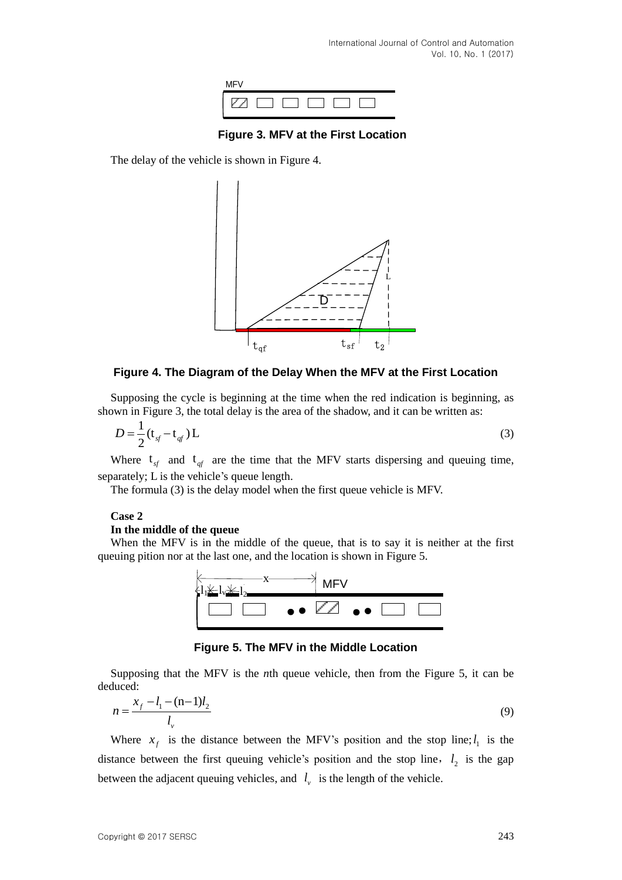

**Figure 3. MFV at the First Location**

The delay of the vehicle is shown in Figure 4.



**Figure 4. The Diagram of the Delay When the MFV at the First Location**

Supposing the cycle is beginning at the time when the red indication is beginning, as shown in Figure 3, the total delay is the area of the shadow, and it can be written as:

$$
D = \frac{1}{2} \left( \mathbf{t}_{sf} - \mathbf{t}_{sf} \right) \mathbf{L} \tag{3}
$$

Where  $t_{sf}$  and  $t_{gt}$  are the time that the MFV starts dispersing and queuing time, separately; L is the vehicle's queue length.

The formula (3) is the delay model when the first queue vehicle is MFV.

#### **Case 2**

#### **In the middle of the queue**

When the MFV is in the middle of the queue, that is to say it is neither at the first queuing pition nor at the last one, and the location is shown in Figure 5.



**Figure 5. The MFV in the Middle Location**

Supposing that the MFV is the *n*th queue vehicle, then from the Figure 5, it can be deduced:

$$
n = \frac{x_f - l_1 - (n-1)l_2}{l_v} \tag{9}
$$

Where  $x_f$  is the distance between the MFV's position and the stop line;  $l_1$  is the distance between the first queuing vehicle's position and the stop line,  $l_2$  is the gap between the adjacent queuing vehicles, and  $l_{v}$  is the length of the vehicle.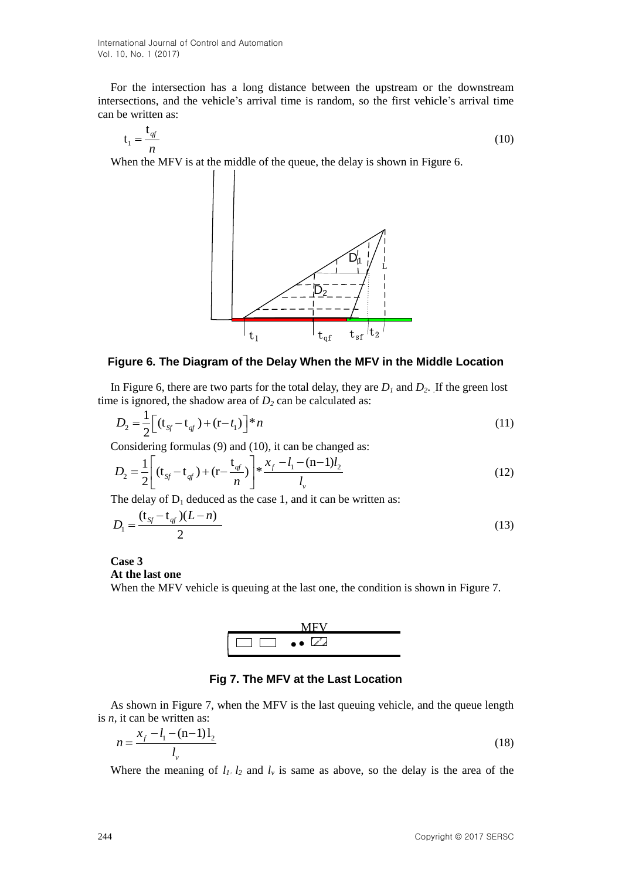For the intersection has a long distance between the upstream or the downstream intersections, and the vehicle's arrival time is random, so the first vehicle's arrival time can be written as:

$$
t_1 = \frac{t_{qf}}{n} \tag{10}
$$

When the MFV is at the middle of the queue, the delay is shown in Figure 6.



#### **Figure 6. The Diagram of the Delay When the MFV in the Middle Location**

In Figure 6, there are two parts for the total delay, they are  $D_1$  and  $D_2$ . If the green lost time is ignored, the shadow area of  $D_2$  can be calculated as:

$$
D_2 = \frac{1}{2} \Big[ (\mathbf{t}_{\mathit{Sf}} - \mathbf{t}_{\mathit{qf}}) + (\mathbf{r} - t_1) \Big]^* n \tag{11}
$$

Considering formulas (9) and (10), it can be changed as:  
\n
$$
D_2 = \frac{1}{2} \left[ (t_{sg} - t_{gt}) + (r - \frac{t_{gt}}{n}) \right] * \frac{x_f - l_1 - (n-1)l_2}{l_v}
$$
\n(12)

The delay of  $D_1$  deduced as the case 1, and it can be written as:

$$
D_1 = \frac{(t_{sf} - t_{gt})(L - n)}{2}
$$
 (13)

# **Case 3**

## **At the last one**

When the MFV vehicle is queuing at the last one, the condition is shown in Figure 7.



## **Fig 7. The MFV at the Last Location**

As shown in Figure 7, when the MFV is the last queuing vehicle, and the queue length is *n*, it can be written as:

$$
n = \frac{x_f - l_1 - (n-1)l_2}{l_v}
$$
 (18)

Where the meaning of  $l_1$ ,  $l_2$  and  $l_v$  is same as above, so the delay is the area of the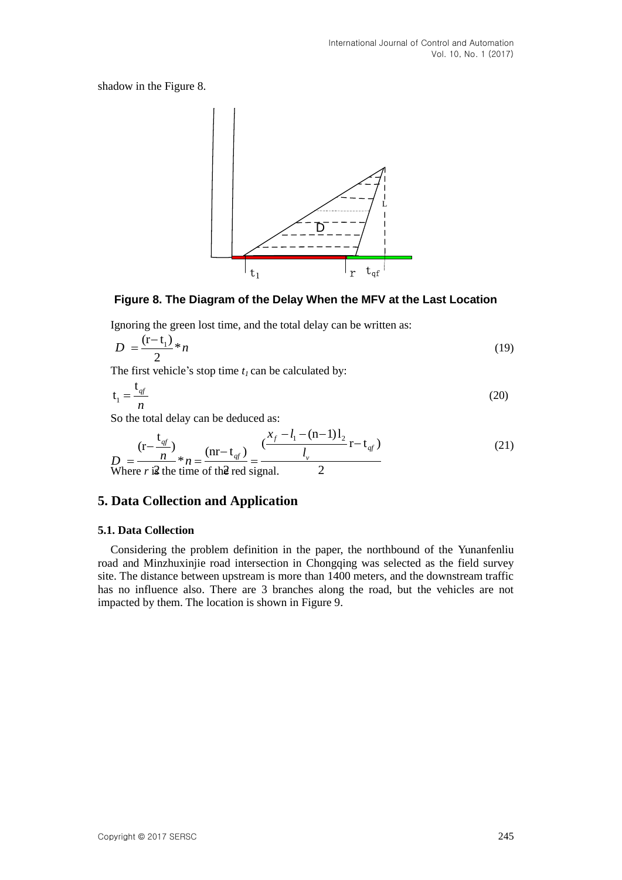shadow in the Figure 8.



## **Figure 8. The Diagram of the Delay When the MFV at the Last Location**

Ignoring the green lost time, and the total delay can be written as:

$$
D = \frac{(\mathbf{r} - \mathbf{t}_1)}{2} * n \tag{19}
$$

The first vehicle's stop time *t1* can be calculated by:

$$
t_1 = \frac{t_{qf}}{n} \tag{20}
$$

So the total delay can be deduced as:

$$
n
$$
  
So the total delay can be deduced as:  

$$
D = \frac{(r - \frac{t_{\text{df}}}{n})}{n} * n = \frac{(nr - t_{\text{df}})}{n} = \frac{\left(\frac{x_f - l_1 - (n - 1)l_2}{l_v}\right) r - t_{\text{df}}}{l_v}
$$
(21)  
Where *r* **is** the time of the red signal.

## **5. Data Collection and Application**

#### **5.1. Data Collection**

Considering the problem definition in the paper, the northbound of the Yunanfenliu road and Minzhuxinjie road intersection in Chongqing was selected as the field survey site. The distance between upstream is more than 1400 meters, and the downstream traffic has no influence also. There are 3 branches along the road, but the vehicles are not impacted by them. The location is shown in Figure 9.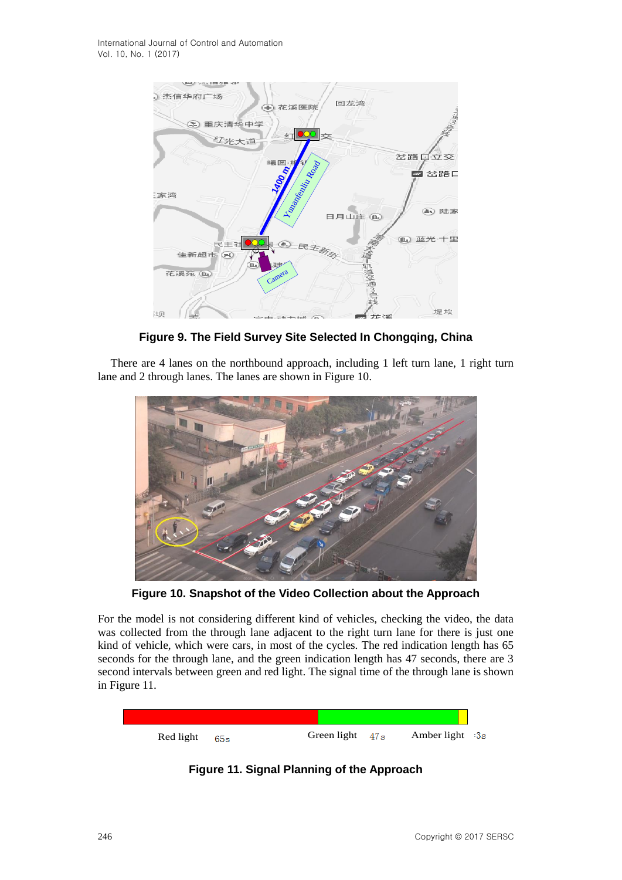International Journal of Control and Automation Vol. 10, No. 1 (2017)



**Figure 9. The Field Survey Site Selected In Chongqing, China**

There are 4 lanes on the northbound approach, including 1 left turn lane, 1 right turn lane and 2 through lanes. The lanes are shown in Figure 10.



**Figure 10. Snapshot of the Video Collection about the Approach**

For the model is not considering different kind of vehicles, checking the video, the data was collected from the through lane adjacent to the right turn lane for there is just one kind of vehicle, which were cars, in most of the cycles. The red indication length has 65 seconds for the through lane, and the green indication length has 47 seconds, there are 3 second intervals between green and red light. The signal time of the through lane is shown in Figure 11.



**Figure 11. Signal Planning of the Approach**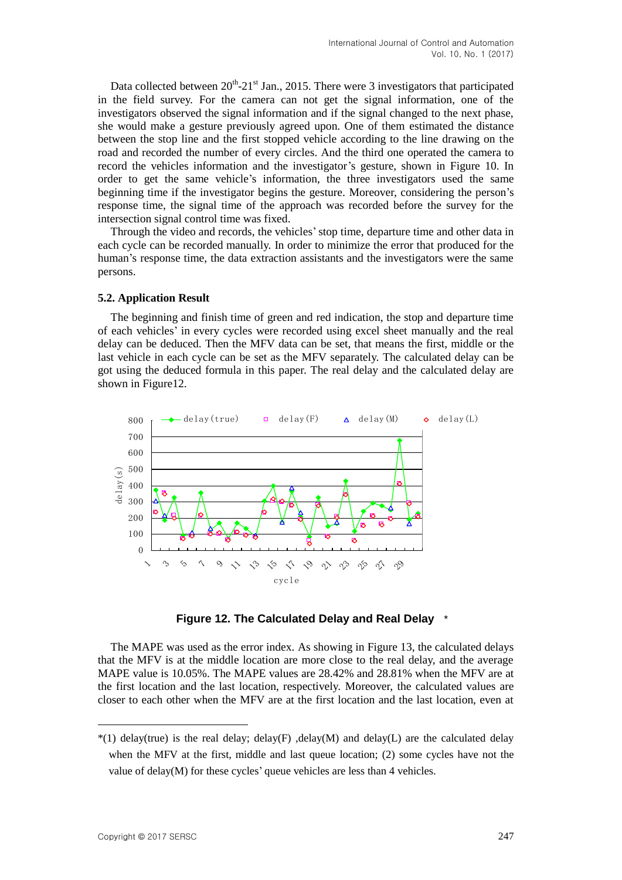Data collected between  $20^{th}$ - $21^{st}$  Jan., 2015. There were 3 investigators that participated in the field survey. For the camera can not get the signal information, one of the investigators observed the signal information and if the signal changed to the next phase, she would make a gesture previously agreed upon. One of them estimated the distance between the stop line and the first stopped vehicle according to the line drawing on the road and recorded the number of every circles. And the third one operated the camera to record the vehicles information and the investigator's gesture, shown in Figure 10. In order to get the same vehicle's information, the three investigators used the same beginning time if the investigator begins the gesture. Moreover, considering the person's response time, the signal time of the approach was recorded before the survey for the intersection signal control time was fixed.

Through the video and records, the vehicles'stop time, departure time and other data in each cycle can be recorded manually. In order to minimize the error that produced for the human's response time, the data extraction assistants and the investigators were the same persons.

## **5.2. Application Result**

The beginning and finish time of green and red indication, the stop and departure time of each vehicles' in every cycles were recorded using excel sheet manually and the real delay can be deduced. Then the MFV data can be set, that means the first, middle or the last vehicle in each cycle can be set as the MFV separately. The calculated delay can be got using the deduced formula in this paper. The real delay and the calculated delay are shown in Figure12.



**Figure 12. The Calculated Delay and Real Delay** 1 \*

The MAPE was used as the error index. As showing in Figure 13, the calculated delays that the MFV is at the middle location are more close to the real delay, and the average MAPE value is 10.05%. The MAPE values are 28.42% and 28.81% when the MFV are at the first location and the last location, respectively. Moreover, the calculated values are closer to each other when the MFV are at the first location and the last location, even at

 $\overline{a}$ 

 $*(1)$  delay(true) is the real delay; delay(F) ,delay(M) and delay(L) are the calculated delay when the MFV at the first, middle and last queue location; (2) some cycles have not the value of delay(M) for these cycles' queue vehicles are less than 4 vehicles.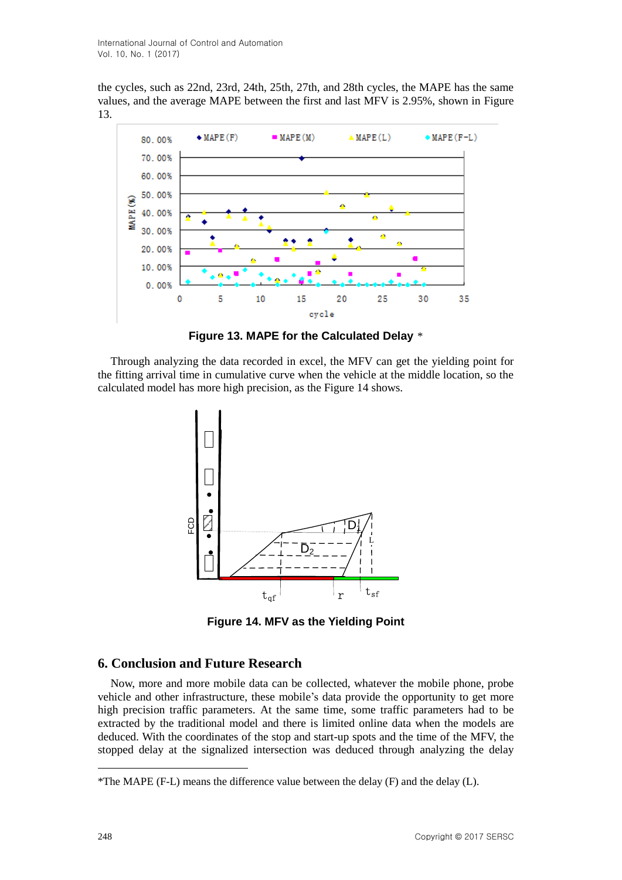the cycles, such as 22nd, 23rd, 24th, 25th, 27th, and 28th cycles, the MAPE has the same values, and the average MAPE between the first and last MFV is 2.95%, shown in Figure 13.



Figure 13. MAPE for the Calculated Delay \*

Through analyzing the data recorded in excel, the MFV can get the yielding point for the fitting arrival time in cumulative curve when the vehicle at the middle location, so the calculated model has more high precision, as the Figure 14 shows.



**Figure 14. MFV as the Yielding Point**

## **6. Conclusion and Future Research**

Now, more and more mobile data can be collected, whatever the mobile phone, probe vehicle and other infrastructure, these mobile's data provide the opportunity to get more high precision traffic parameters. At the same time, some traffic parameters had to be extracted by the traditional model and there is limited online data when the models are deduced. With the coordinates of the stop and start-up spots and the time of the MFV, the stopped delay at the signalized intersection was deduced through analyzing the delay

 $\overline{a}$ 

<sup>\*</sup>The MAPE (F-L) means the difference value between the delay (F) and the delay (L).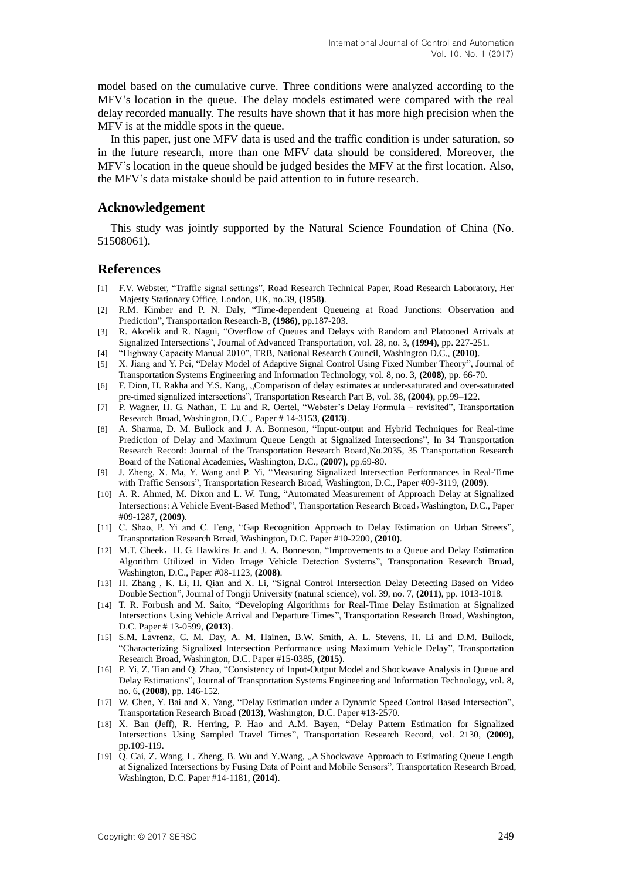model based on the cumulative curve. Three conditions were analyzed according to the MFV's location in the queue. The delay models estimated were compared with the real delay recorded manually. The results have shown that it has more high precision when the MFV is at the middle spots in the queue.

In this paper, just one MFV data is used and the traffic condition is under saturation, so in the future research, more than one MFV data should be considered. Moreover, the MFV's location in the queue should be judged besides the MFV at the first location. Also, the MFV's data mistake should be paid attention to in future research.

## **Acknowledgement**

This study was jointly supported by the Natural Science Foundation of China (No. 51508061).

## **References**

- [1] F.V. Webster, "Traffic signal settings", Road Research Technical Paper, Road Research Laboratory, Her Majesty Stationary Office, London, UK, no.39, **(1958)**.
- [2] R.M. Kimber and P. N. Daly, "Time-dependent Queueing at Road Junctions: Observation and Prediction", Transportation Research-B, **(1986)**, pp.187-203.
- [3] R. Akcelik and R. Nagui, "Overflow of Queues and Delays with Random and Platooned Arrivals at Signalized Intersections", Journal of Advanced Transportation, vol. 28, no. 3, **(1994)**, pp. 227-251.
- [4] "Highway Capacity Manual 2010", TRB, National Research Council, Washington D.C., **(2010)**.
- [5] X. Jiang and Y. Pei, "Delay Model of Adaptive Signal Control Using Fixed Number Theory", Journal of Transportation Systems Engineering and Information Technology, vol. 8, no. 3, **(2008)**, pp. 66-70.
- [6] F. Dion, H. Rakha and Y.S. Kang, "Comparison of delay estimates at under-saturated and over-saturated pre-timed signalized intersections", Transportation Research Part B, vol. 38, **(2004)**, pp.99–122.
- [7] P. Wagner, H. G. Nathan, T. Lu and R. Oertel, "Webster's Delay Formula revisited", Transportation Research Broad, Washington, D.C., Paper # 14-3153, **(2013)**.
- [8] A. Sharma, D. M. Bullock and J. A. Bonneson, "Input-output and Hybrid Techniques for Real-time Prediction of Delay and Maximum Queue Length at Signalized Intersections", In 34 Transportation Research Record: Journal of the Transportation Research Board,No.2035, 35 Transportation Research Board of the National Academies, Washington, D.C., **(2007)**, pp.69-80.
- [9] J. Zheng, X. Ma, Y. Wang and P. Yi, "Measuring Signalized Intersection Performances in Real-Time with Traffic Sensors", Transportation Research Broad, Washington, D.C., Paper #09-3119, **(2009)**.
- [10] A. R. Ahmed, M. Dixon and L. W. Tung, "Automated Measurement of Approach Delay at Signalized Intersections: A Vehicle Event-Based Method", Transportation Research Broad,Washington, D.C., Paper #09-1287, **(2009)**.
- [11] C. Shao, P. Yi and C. Feng, "Gap Recognition Approach to Delay Estimation on Urban Streets", Transportation Research Broad, Washington, D.C. Paper #10-2200, **(2010)**.
- [12] M.T. Cheek, H. G. Hawkins Jr. and J. A. Bonneson, "Improvements to a Queue and Delay Estimation Algorithm Utilized in Video Image Vehicle Detection Systems", Transportation Research Broad, Washington, D.C., Paper #08-1123, **(2008)**.
- [13] H. Zhang , K. Li, H. Qian and X. Li, "Signal Control Intersection Delay Detecting Based on Video Double Section", Journal of Tongji University (natural science), vol. 39, no. 7, **(2011)**, pp. 1013-1018.
- [14] T. R. Forbush and M. Saito, "Developing Algorithms for Real-Time Delay Estimation at Signalized Intersections Using Vehicle Arrival and Departure Times", Transportation Research Broad, Washington, D.C. Paper # 13-0599, **(2013)**.
- [15] S.M. Lavrenz, C. M. Day, A. M. Hainen, B.W. Smith, A. L. Stevens, H. Li and D.M. Bullock, "Characterizing Signalized Intersection Performance using Maximum Vehicle Delay", Transportation Research Broad, Washington, D.C. Paper #15-0385, **(2015)**.
- [16] P. Yi, Z. Tian and Q. Zhao, "Consistency of Input-Output Model and Shockwave Analysis in Queue and Delay Estimations", Journal of Transportation Systems Engineering and Information Technology, vol. 8, no. 6, **(2008)**, pp. 146-152.
- [17] W. Chen, Y. Bai and X. Yang, "Delay Estimation under a Dynamic Speed Control Based Intersection", Transportation Research Broad **(2013)**, Washington, D.C. Paper #13-2570.
- [18] X. Ban (Jeff), R. Herring, P. Hao and A.M. Bayen, "Delay Pattern Estimation for Signalized Intersections Using Sampled Travel Times", Transportation Research Record, vol. 2130, **(2009)**, pp.109-119.
- [19] Q. Cai, Z. Wang, L. Zheng, B. Wu and Y. Wang, "A Shockwave Approach to Estimating Queue Length at Signalized Intersections by Fusing Data of Point and Mobile Sensors", Transportation Research Broad, Washington, D.C. Paper #14-1181, **(2014)**.